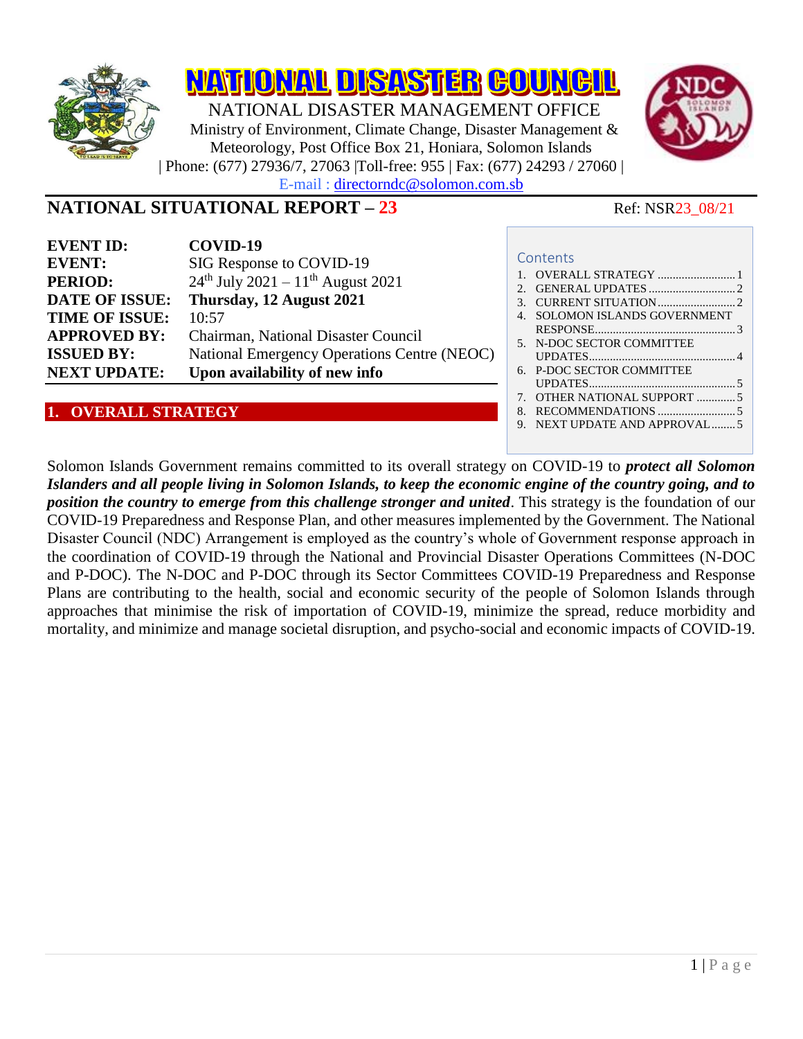

## **NATIONAL SITUATIONAL REPORT – 23** Ref: NSR23\_08/21

| <b>EVENT ID:</b>      | COVID-19                                        |
|-----------------------|-------------------------------------------------|
| <b>EVENT:</b>         | SIG Response to COVID-19                        |
| <b>PERIOD:</b>        | $24th$ July 2021 - 11 <sup>th</sup> August 2021 |
| <b>DATE OF ISSUE:</b> | Thursday, 12 August 2021                        |
| <b>TIME OF ISSUE:</b> | 10:57                                           |
| <b>APPROVED BY:</b>   | Chairman, National Disaster Council             |
| <b>ISSUED BY:</b>     | National Emergency Operations Centre (NEOC)     |
| <b>NEXT UPDATE:</b>   | Upon availability of new info                   |

#### <span id="page-0-0"></span>**1. OVERALL STRATEGY**

Solomon Islands Government remains committed to its overall strategy on COVID-19 to *protect all Solomon Islanders and all people living in Solomon Islands, to keep the economic engine of the country going, and to position the country to emerge from this challenge stronger and united*. This strategy is the foundation of our COVID-19 Preparedness and Response Plan, and other measures implemented by the Government. The National Disaster Council (NDC) Arrangement is employed as the country's whole of Government response approach in the coordination of COVID-19 through the National and Provincial Disaster Operations Committees (N-DOC and P-DOC). The N-DOC and P-DOC through its Sector Committees COVID-19 Preparedness and Response Plans are contributing to the health, social and economic security of the people of Solomon Islands through approaches that minimise the risk of importation of COVID-19, minimize the spread, reduce morbidity and mortality, and minimize and manage societal disruption, and psycho-social and economic impacts of COVID-19.

# **Contents**



[RESPONSE...............................................](#page-2-0) 3

[UPDATES.................................................](#page-3-0) 4

[UPDATES.................................................](#page-4-0) 5 7. [OTHER NATIONAL SUPPORT](#page-4-1) ............. 5 8. [RECOMMENDATIONS](#page-4-2) .......................... 5 9. [NEXT UPDATE AND APPROVAL........](#page-4-3) 5

5. [N-DOC SECTOR COMMITTEE](#page-3-0) 

6. [P-DOC SECTOR COMMITTEE](#page-4-0)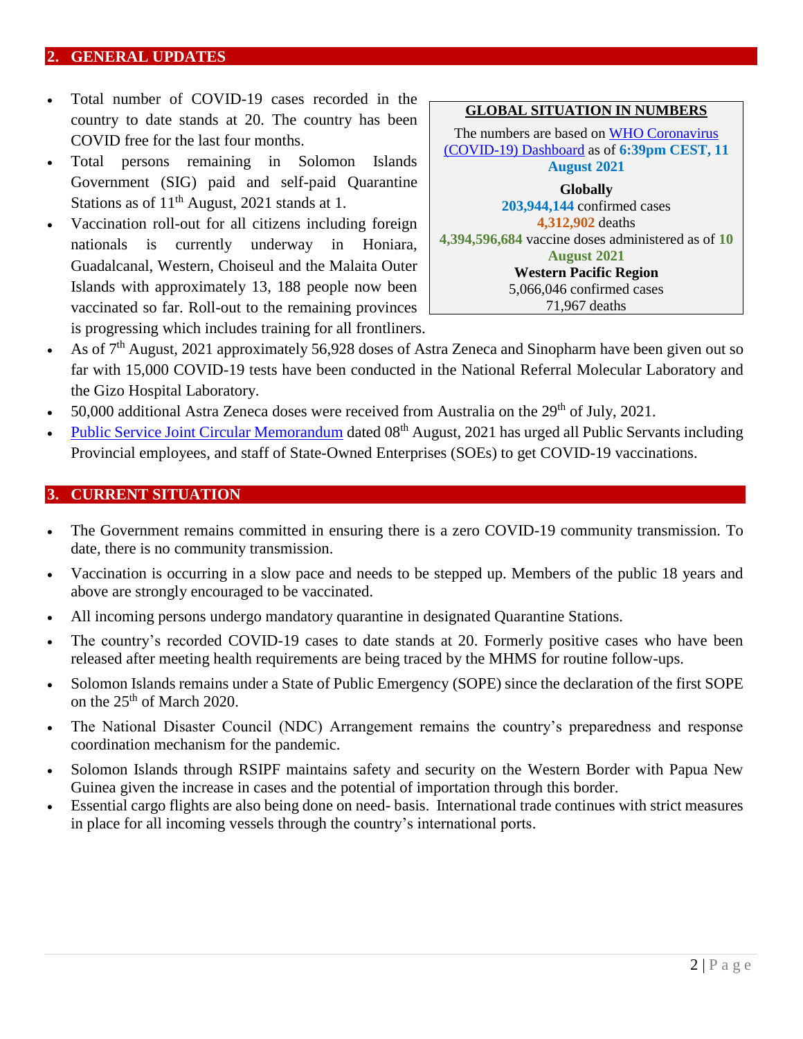#### <span id="page-1-0"></span>**2. GENERAL UPDATES**

- Total number of COVID-19 cases recorded in the country to date stands at 20. The country has been COVID free for the last four months.
- Total persons remaining in Solomon Islands Government (SIG) paid and self-paid Quarantine Stations as of  $11<sup>th</sup>$  August, 2021 stands at 1.
- Vaccination roll-out for all citizens including foreign nationals is currently underway in Honiara, Guadalcanal, Western, Choiseul and the Malaita Outer Islands with approximately 13, 188 people now been vaccinated so far. Roll-out to the remaining provinces is progressing which includes training for all frontliners.



**GLOBAL SITUATION IN NUMBERS**

- As of 7<sup>th</sup> August, 2021 approximately 56,928 doses of Astra Zeneca and Sinopharm have been given out so far with 15,000 COVID-19 tests have been conducted in the National Referral Molecular Laboratory and the Gizo Hospital Laboratory.
- 50,000 additional Astra Zeneca doses were received from Australia on the  $29<sup>th</sup>$  of July, 2021.
- [Public Service Joint Circular Memorandum](https://bit.ly/3jP2W1A) dated 08<sup>th</sup> August, 2021 has urged all Public Servants including Provincial employees, and staff of State-Owned Enterprises (SOEs) to get COVID-19 vaccinations.

#### <span id="page-1-1"></span>**3. CURRENT SITUATION**

- The Government remains committed in ensuring there is a zero COVID-19 community transmission. To date, there is no community transmission.
- Vaccination is occurring in a slow pace and needs to be stepped up. Members of the public 18 years and above are strongly encouraged to be vaccinated.
- All incoming persons undergo mandatory quarantine in designated Quarantine Stations.
- The country's recorded COVID-19 cases to date stands at 20. Formerly positive cases who have been released after meeting health requirements are being traced by the MHMS for routine follow-ups.
- Solomon Islands remains under a State of Public Emergency (SOPE) since the declaration of the first SOPE on the 25<sup>th</sup> of March 2020.
- The National Disaster Council (NDC) Arrangement remains the country's preparedness and response coordination mechanism for the pandemic.
- Solomon Islands through RSIPF maintains safety and security on the Western Border with Papua New Guinea given the increase in cases and the potential of importation through this border.
- Essential cargo flights are also being done on need- basis. International trade continues with strict measures in place for all incoming vessels through the country's international ports.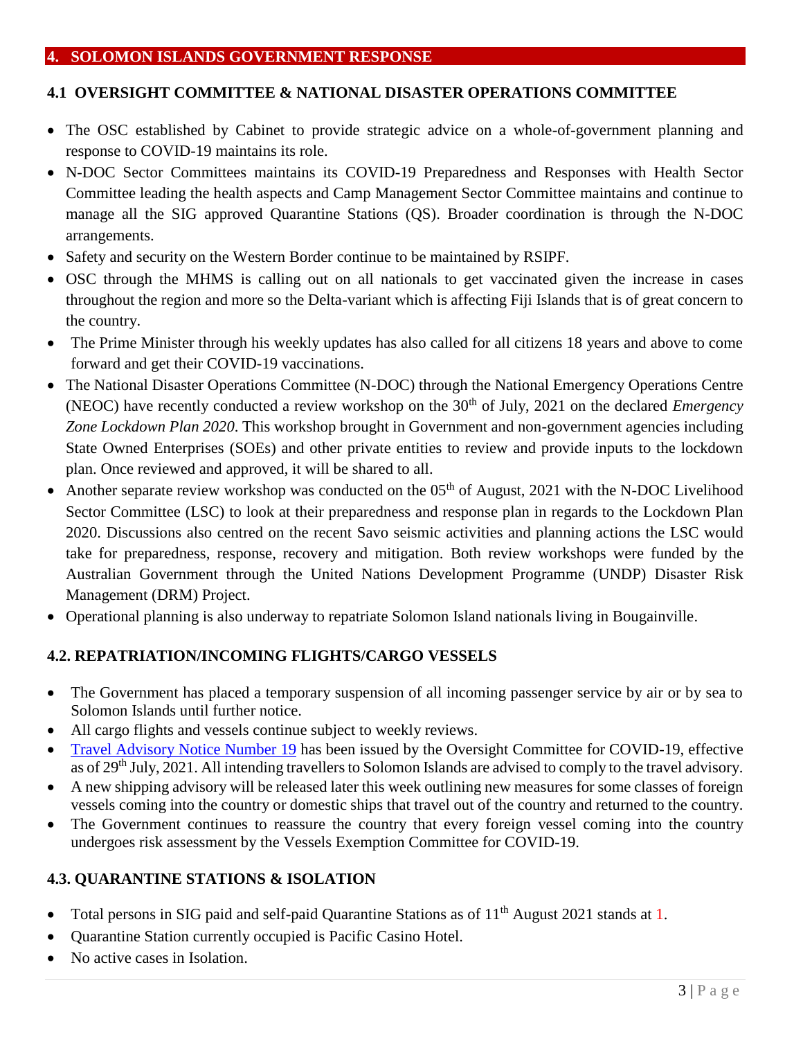#### <span id="page-2-0"></span>**4. SOLOMON ISLANDS GOVERNMENT RESPONSE**

#### **4.1 OVERSIGHT COMMITTEE & NATIONAL DISASTER OPERATIONS COMMITTEE**

- The OSC established by Cabinet to provide strategic advice on a whole-of-government planning and response to COVID-19 maintains its role.
- N-DOC Sector Committees maintains its COVID-19 Preparedness and Responses with Health Sector Committee leading the health aspects and Camp Management Sector Committee maintains and continue to manage all the SIG approved Quarantine Stations (QS). Broader coordination is through the N-DOC arrangements.
- Safety and security on the Western Border continue to be maintained by RSIPF.
- OSC through the MHMS is calling out on all nationals to get vaccinated given the increase in cases throughout the region and more so the Delta-variant which is affecting Fiji Islands that is of great concern to the country.
- The Prime Minister through his weekly updates has also called for all citizens 18 years and above to come forward and get their COVID-19 vaccinations.
- The National Disaster Operations Committee (N-DOC) through the National Emergency Operations Centre (NEOC) have recently conducted a review workshop on the 30<sup>th</sup> of July, 2021 on the declared *Emergency Zone Lockdown Plan 2020*. This workshop brought in Government and non-government agencies including State Owned Enterprises (SOEs) and other private entities to review and provide inputs to the lockdown plan. Once reviewed and approved, it will be shared to all.
- Another separate review workshop was conducted on the  $05<sup>th</sup>$  of August, 2021 with the N-DOC Livelihood Sector Committee (LSC) to look at their preparedness and response plan in regards to the Lockdown Plan 2020. Discussions also centred on the recent Savo seismic activities and planning actions the LSC would take for preparedness, response, recovery and mitigation. Both review workshops were funded by the Australian Government through the United Nations Development Programme (UNDP) Disaster Risk Management (DRM) Project.
- Operational planning is also underway to repatriate Solomon Island nationals living in Bougainville.

## **4.2. REPATRIATION/INCOMING FLIGHTS/CARGO VESSELS**

- The Government has placed a temporary suspension of all incoming passenger service by air or by sea to Solomon Islands until further notice.
- All cargo flights and vessels continue subject to weekly reviews.
- [Travel Advisory Notice Number 19](https://bit.ly/3lKSzOX) has been issued by the Oversight Committee for COVID-19, effective as of 29<sup>th</sup> July, 2021. All intending travellers to Solomon Islands are advised to comply to the travel advisory.
- A new shipping advisory will be released later this week outlining new measures for some classes of foreign vessels coming into the country or domestic ships that travel out of the country and returned to the country.
- The Government continues to reassure the country that every foreign vessel coming into the country undergoes risk assessment by the Vessels Exemption Committee for COVID-19.

## **4.3. QUARANTINE STATIONS & ISOLATION**

- Total persons in SIG paid and self-paid Quarantine Stations as of 11<sup>th</sup> August 2021 stands at 1.
- Quarantine Station currently occupied is Pacific Casino Hotel.
- No active cases in Isolation.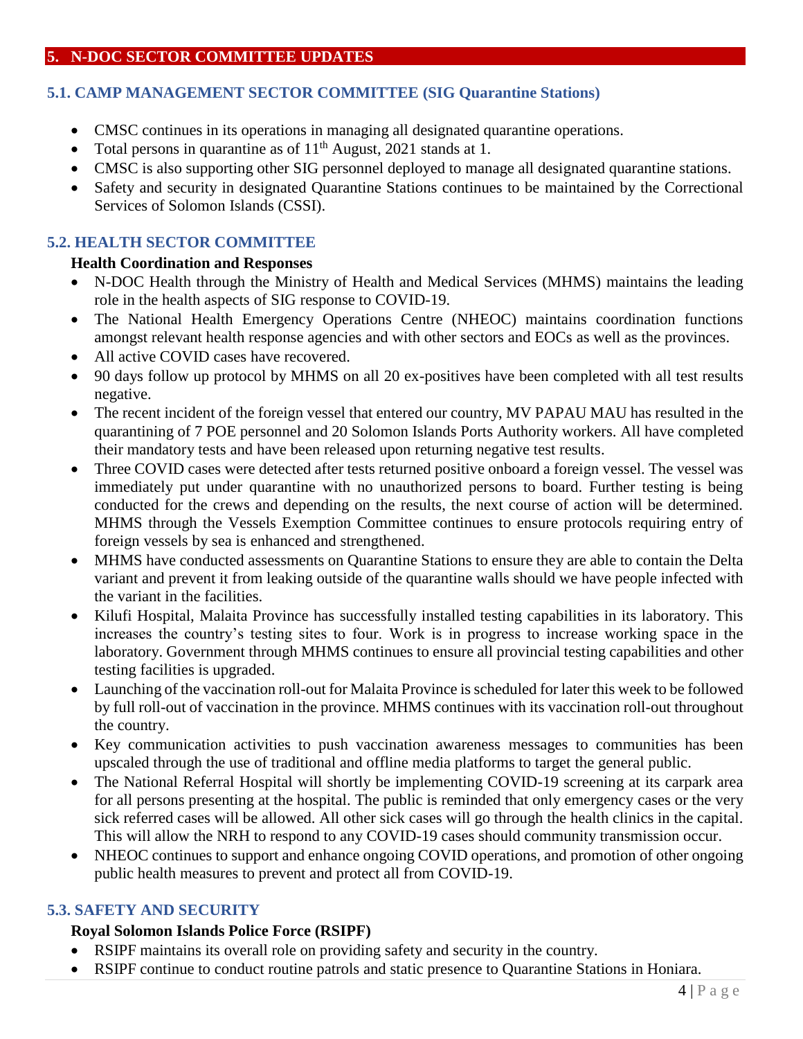## <span id="page-3-0"></span>**5. N-DOC SECTOR COMMITTEE UPDATES**

## **5.1. CAMP MANAGEMENT SECTOR COMMITTEE (SIG Quarantine Stations)**

- CMSC continues in its operations in managing all designated quarantine operations.
- Total persons in quarantine as of  $11<sup>th</sup>$  August, 2021 stands at 1.
- CMSC is also supporting other SIG personnel deployed to manage all designated quarantine stations.
- Safety and security in designated Quarantine Stations continues to be maintained by the Correctional Services of Solomon Islands (CSSI).

## **5.2. HEALTH SECTOR COMMITTEE**

#### **Health Coordination and Responses**

- N-DOC Health through the Ministry of Health and Medical Services (MHMS) maintains the leading role in the health aspects of SIG response to COVID-19.
- The National Health Emergency Operations Centre (NHEOC) maintains coordination functions amongst relevant health response agencies and with other sectors and EOCs as well as the provinces.
- All active COVID cases have recovered.
- 90 days follow up protocol by MHMS on all 20 ex-positives have been completed with all test results negative.
- The recent incident of the foreign vessel that entered our country, MV PAPAU MAU has resulted in the quarantining of 7 POE personnel and 20 Solomon Islands Ports Authority workers. All have completed their mandatory tests and have been released upon returning negative test results.
- Three COVID cases were detected after tests returned positive onboard a foreign vessel. The vessel was immediately put under quarantine with no unauthorized persons to board. Further testing is being conducted for the crews and depending on the results, the next course of action will be determined. MHMS through the Vessels Exemption Committee continues to ensure protocols requiring entry of foreign vessels by sea is enhanced and strengthened.
- MHMS have conducted assessments on Quarantine Stations to ensure they are able to contain the Delta variant and prevent it from leaking outside of the quarantine walls should we have people infected with the variant in the facilities.
- Kilufi Hospital, Malaita Province has successfully installed testing capabilities in its laboratory. This increases the country's testing sites to four. Work is in progress to increase working space in the laboratory. Government through MHMS continues to ensure all provincial testing capabilities and other testing facilities is upgraded.
- Launching of the vaccination roll-out for Malaita Province is scheduled for later this week to be followed by full roll-out of vaccination in the province. MHMS continues with its vaccination roll-out throughout the country.
- Key communication activities to push vaccination awareness messages to communities has been upscaled through the use of traditional and offline media platforms to target the general public.
- The National Referral Hospital will shortly be implementing COVID-19 screening at its carpark area for all persons presenting at the hospital. The public is reminded that only emergency cases or the very sick referred cases will be allowed. All other sick cases will go through the health clinics in the capital. This will allow the NRH to respond to any COVID-19 cases should community transmission occur.
- NHEOC continues to support and enhance ongoing COVID operations, and promotion of other ongoing public health measures to prevent and protect all from COVID-19.

## **5.3. SAFETY AND SECURITY**

## **Royal Solomon Islands Police Force (RSIPF)**

- RSIPF maintains its overall role on providing safety and security in the country.
- RSIPF continue to conduct routine patrols and static presence to Quarantine Stations in Honiara.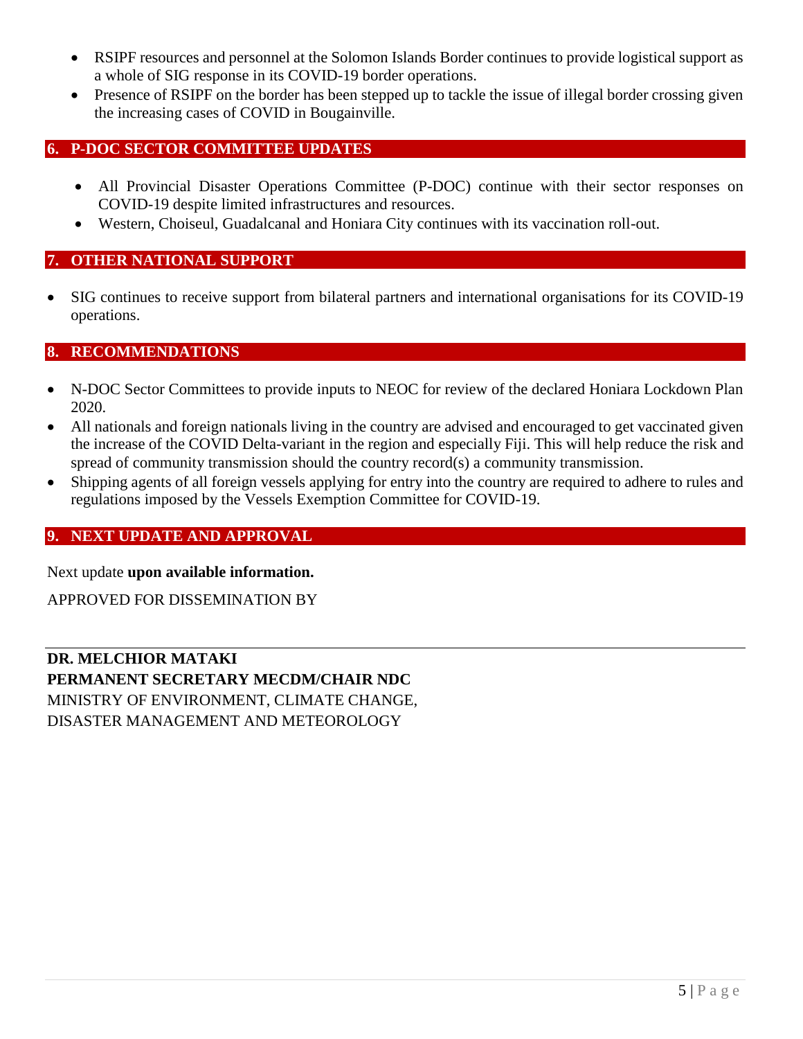- RSIPF resources and personnel at the Solomon Islands Border continues to provide logistical support as a whole of SIG response in its COVID-19 border operations.
- Presence of RSIPF on the border has been stepped up to tackle the issue of illegal border crossing given the increasing cases of COVID in Bougainville.

## <span id="page-4-0"></span>**6. P-DOC SECTOR COMMITTEE UPDATES**

- All Provincial Disaster Operations Committee (P-DOC) continue with their sector responses on COVID-19 despite limited infrastructures and resources.
- Western, Choiseul, Guadalcanal and Honiara City continues with its vaccination roll-out.

#### <span id="page-4-1"></span>**7. OTHER NATIONAL SUPPORT**

 SIG continues to receive support from bilateral partners and international organisations for its COVID-19 operations.

#### <span id="page-4-2"></span>**8. RECOMMENDATIONS**

- N-DOC Sector Committees to provide inputs to NEOC for review of the declared Honiara Lockdown Plan 2020.
- All nationals and foreign nationals living in the country are advised and encouraged to get vaccinated given the increase of the COVID Delta-variant in the region and especially Fiji. This will help reduce the risk and spread of community transmission should the country record(s) a community transmission.
- Shipping agents of all foreign vessels applying for entry into the country are required to adhere to rules and regulations imposed by the Vessels Exemption Committee for COVID-19.

#### <span id="page-4-3"></span>**9. NEXT UPDATE AND APPROVAL**

Next update **upon available information.**

APPROVED FOR DISSEMINATION BY

**DR. MELCHIOR MATAKI PERMANENT SECRETARY MECDM/CHAIR NDC** MINISTRY OF ENVIRONMENT, CLIMATE CHANGE, DISASTER MANAGEMENT AND METEOROLOGY